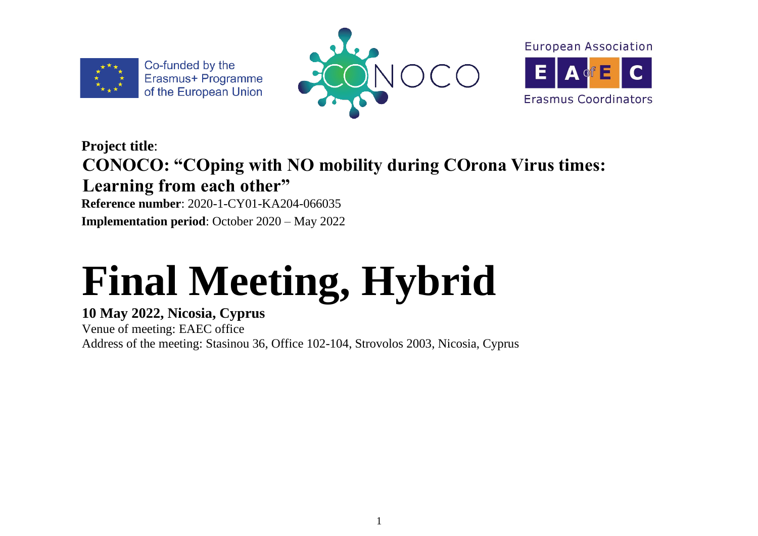

Co-funded by the Erasmus+ Programme of the European Union





### **Project title**: **CONOCO: "COping with NO mobility during COrona Virus times: Learning from each other"**

**Reference number**: 2020-1-CY01-KA204-066035 **Implementation period**: October 2020 – May 2022

# **Final Meeting, Hybrid**

#### **10 May 2022, Nicosia, Cyprus**

Venue of meeting: EAEC office Address of the meeting: Stasinou 36, Office 102-104, Strovolos 2003, Nicosia, Cyprus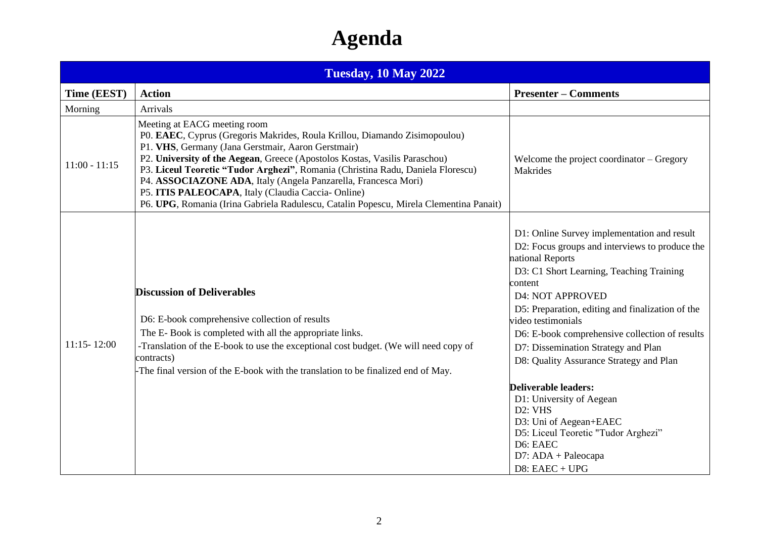## **Agenda**

| <b>Tuesday, 10 May 2022</b> |                                                                                                                                                                                                                                                                                                                                                                                                                                                                                                                                                    |                                                                                                                                                                                                                                                                                                                                                                                                                                                                                                                                                                                                                                         |  |  |  |  |  |  |  |  |
|-----------------------------|----------------------------------------------------------------------------------------------------------------------------------------------------------------------------------------------------------------------------------------------------------------------------------------------------------------------------------------------------------------------------------------------------------------------------------------------------------------------------------------------------------------------------------------------------|-----------------------------------------------------------------------------------------------------------------------------------------------------------------------------------------------------------------------------------------------------------------------------------------------------------------------------------------------------------------------------------------------------------------------------------------------------------------------------------------------------------------------------------------------------------------------------------------------------------------------------------------|--|--|--|--|--|--|--|--|
| Time (EEST)                 | <b>Action</b>                                                                                                                                                                                                                                                                                                                                                                                                                                                                                                                                      | <b>Presenter – Comments</b>                                                                                                                                                                                                                                                                                                                                                                                                                                                                                                                                                                                                             |  |  |  |  |  |  |  |  |
| Morning                     | Arrivals                                                                                                                                                                                                                                                                                                                                                                                                                                                                                                                                           |                                                                                                                                                                                                                                                                                                                                                                                                                                                                                                                                                                                                                                         |  |  |  |  |  |  |  |  |
| $11:00 - 11:15$             | Meeting at EACG meeting room<br>P0. EAEC, Cyprus (Gregoris Makrides, Roula Krillou, Diamando Zisimopoulou)<br>P1. VHS, Germany (Jana Gerstmair, Aaron Gerstmair)<br>P2. University of the Aegean, Greece (Apostolos Kostas, Vasilis Paraschou)<br>P3. Liceul Teoretic "Tudor Arghezi", Romania (Christina Radu, Daniela Florescu)<br>P4. ASSOCIAZONE ADA, Italy (Angela Panzarella, Francesca Mori)<br>P5. ITIS PALEOCAPA, Italy (Claudia Caccia-Online)<br>P6. UPG, Romania (Irina Gabriela Radulescu, Catalin Popescu, Mirela Clementina Panait) | Welcome the project coordinator $-$ Gregory<br><b>Makrides</b>                                                                                                                                                                                                                                                                                                                                                                                                                                                                                                                                                                          |  |  |  |  |  |  |  |  |
| $11:15 - 12:00$             | <b>Discussion of Deliverables</b><br>D6: E-book comprehensive collection of results<br>The E-Book is completed with all the appropriate links.<br>-Translation of the E-book to use the exceptional cost budget. (We will need copy of<br>contracts)<br>-The final version of the E-book with the translation to be finalized end of May.                                                                                                                                                                                                          | D1: Online Survey implementation and result<br>D2: Focus groups and interviews to produce the<br>national Reports<br>D3: C1 Short Learning, Teaching Training<br>content<br><b>D4: NOT APPROVED</b><br>D5: Preparation, editing and finalization of the<br>video testimonials<br>D6: E-book comprehensive collection of results<br>D7: Dissemination Strategy and Plan<br>D8: Quality Assurance Strategy and Plan<br>Deliverable leaders:<br>D1: University of Aegean<br>D <sub>2</sub> : VH <sub>S</sub><br>D3: Uni of Aegean+EAEC<br>D5: Liceul Teoretic "Tudor Arghezi"<br>D6: EAEC<br>$D7$ : $ADA + Paleocapa$<br>$D8$ : EAEC + UPG |  |  |  |  |  |  |  |  |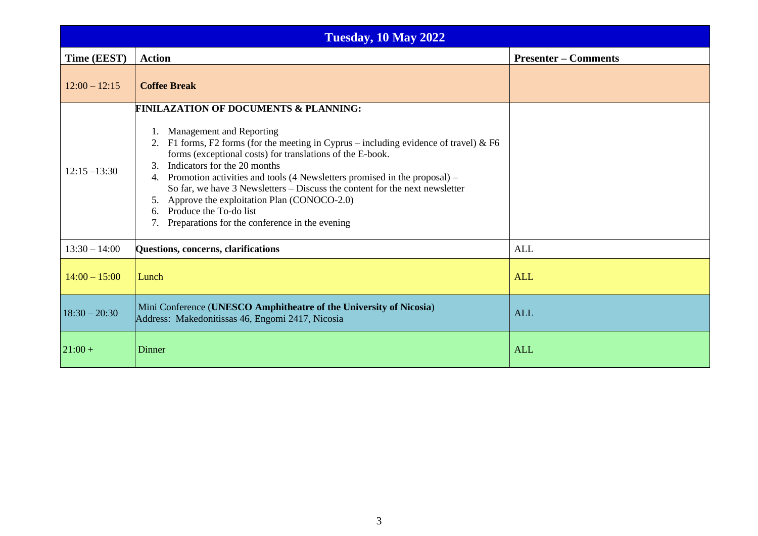| <b>Tuesday, 10 May 2022</b> |                                                                                                                                                                                                                                                                                                                                                                                                                                                                                                                                                                                  |                             |  |  |  |  |  |  |  |  |
|-----------------------------|----------------------------------------------------------------------------------------------------------------------------------------------------------------------------------------------------------------------------------------------------------------------------------------------------------------------------------------------------------------------------------------------------------------------------------------------------------------------------------------------------------------------------------------------------------------------------------|-----------------------------|--|--|--|--|--|--|--|--|
| Time (EEST)                 | <b>Action</b>                                                                                                                                                                                                                                                                                                                                                                                                                                                                                                                                                                    | <b>Presenter – Comments</b> |  |  |  |  |  |  |  |  |
| $12:00 - 12:15$             | <b>Coffee Break</b>                                                                                                                                                                                                                                                                                                                                                                                                                                                                                                                                                              |                             |  |  |  |  |  |  |  |  |
| $12:15 - 13:30$             | <b>FINILAZATION OF DOCUMENTS &amp; PLANNING:</b><br>1. Management and Reporting<br>2. F1 forms, F2 forms (for the meeting in Cyprus – including evidence of travel) & F6<br>forms (exceptional costs) for translations of the E-book.<br>Indicators for the 20 months<br>3.<br>4. Promotion activities and tools (4 Newsletters promised in the proposal) –<br>So far, we have 3 Newsletters – Discuss the content for the next newsletter<br>5. Approve the exploitation Plan (CONOCO-2.0)<br>6. Produce the To-do list<br>Preparations for the conference in the evening<br>7. |                             |  |  |  |  |  |  |  |  |
| $13:30 - 14:00$             | Questions, concerns, clarifications                                                                                                                                                                                                                                                                                                                                                                                                                                                                                                                                              | <b>ALL</b>                  |  |  |  |  |  |  |  |  |
| $14:00 - 15:00$             | Lunch                                                                                                                                                                                                                                                                                                                                                                                                                                                                                                                                                                            | <b>ALL</b>                  |  |  |  |  |  |  |  |  |
| $18:30 - 20:30$             | Mini Conference (UNESCO Amphitheatre of the University of Nicosia)<br>Address: Makedonitissas 46, Engomi 2417, Nicosia                                                                                                                                                                                                                                                                                                                                                                                                                                                           | <b>ALL</b>                  |  |  |  |  |  |  |  |  |
| $21:00 +$                   | Dinner                                                                                                                                                                                                                                                                                                                                                                                                                                                                                                                                                                           | <b>ALL</b>                  |  |  |  |  |  |  |  |  |